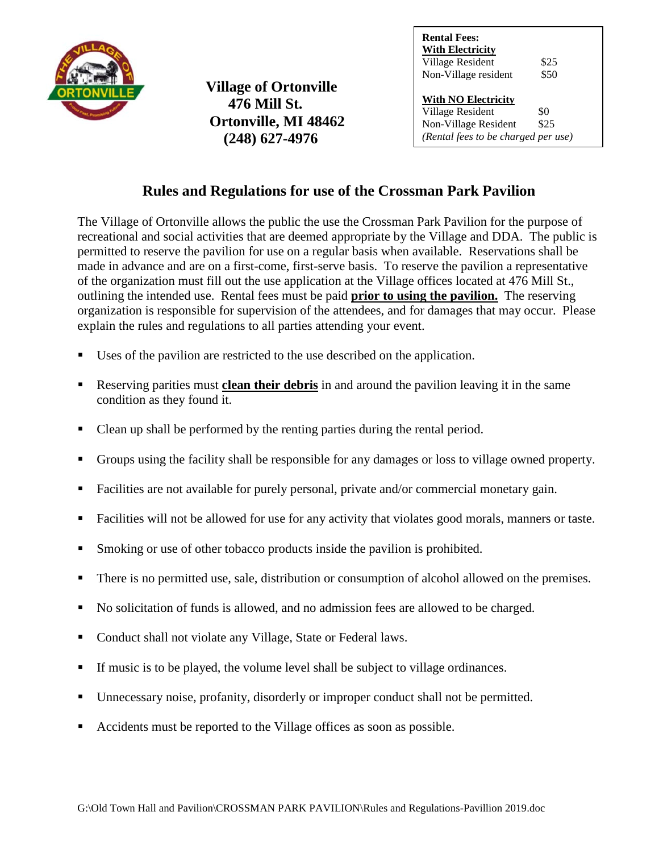

**Village of Ortonville 476 Mill St. Ortonville, MI 48462 (248) 627-4976**

**Rental Fees: With Electricity** Village Resident \$25 Non-Village resident \$50

**With NO Electricity** Village Resident \$0<br>Non-Village Resident \$25 Non-Village Resident *(Rental fees to be charged per use)*

## **Rules and Regulations for use of the Crossman Park Pavilion**

The Village of Ortonville allows the public the use the Crossman Park Pavilion for the purpose of recreational and social activities that are deemed appropriate by the Village and DDA. The public is permitted to reserve the pavilion for use on a regular basis when available. Reservations shall be made in advance and are on a first-come, first-serve basis. To reserve the pavilion a representative of the organization must fill out the use application at the Village offices located at 476 Mill St., outlining the intended use. Rental fees must be paid **prior to using the pavilion.** The reserving organization is responsible for supervision of the attendees, and for damages that may occur. Please explain the rules and regulations to all parties attending your event.

- Uses of the pavilion are restricted to the use described on the application.
- Reserving parities must **clean their debris** in and around the pavilion leaving it in the same condition as they found it.
- Clean up shall be performed by the renting parties during the rental period.
- Groups using the facility shall be responsible for any damages or loss to village owned property.
- Facilities are not available for purely personal, private and/or commercial monetary gain.
- Facilities will not be allowed for use for any activity that violates good morals, manners or taste.
- Smoking or use of other tobacco products inside the pavilion is prohibited.
- There is no permitted use, sale, distribution or consumption of alcohol allowed on the premises.
- No solicitation of funds is allowed, and no admission fees are allowed to be charged.
- Conduct shall not violate any Village, State or Federal laws.
- If music is to be played, the volume level shall be subject to village ordinances.
- Unnecessary noise, profanity, disorderly or improper conduct shall not be permitted.
- Accidents must be reported to the Village offices as soon as possible.